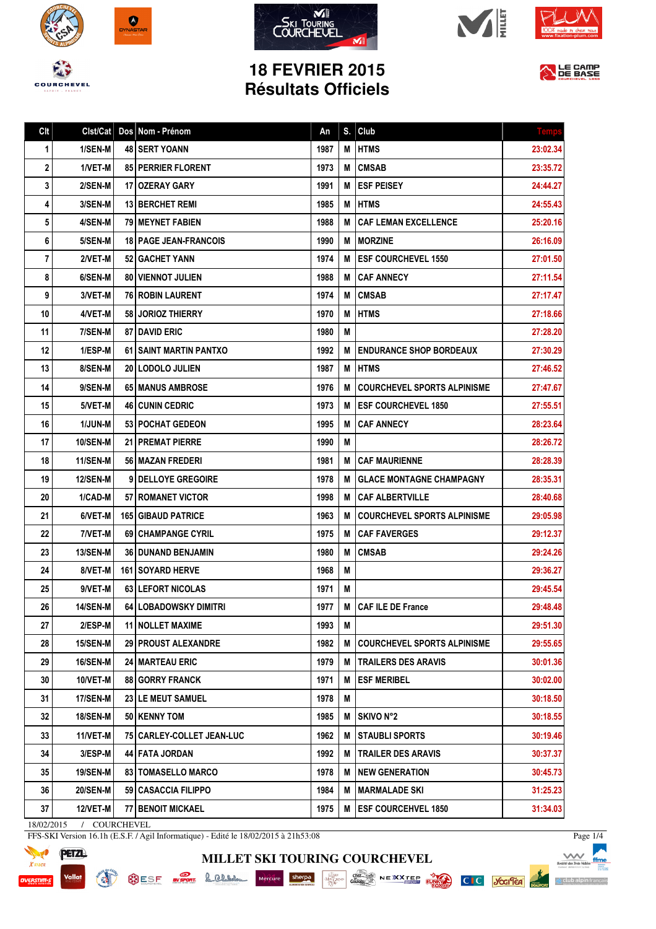









## **18 FEVRIER 2015 Résultats Officiels**



| Clt | Clst/Cat        | Dos Nom - Prénom               | An   | S. | Club                               | <b>Temp:</b> |
|-----|-----------------|--------------------------------|------|----|------------------------------------|--------------|
| 1   | 1/SEN-M         | <b>48 SERT YOANN</b>           | 1987 | M  | <b>IHTMS</b>                       | 23:02.34     |
| 2   | 1/VET-M         | 85 PERRIER FLORENT             | 1973 | М  | <b>CMSAB</b>                       | 23:35.72     |
| 3   | 2/SEN-M         | 17   OZERAY GARY               | 1991 | М  | <b>ESF PEISEY</b>                  | 24:44.27     |
| 4   | 3/SEN-M         | <b>13 BERCHET REMI</b>         | 1985 | М  | <b>I HTMS</b>                      | 24:55.43     |
| 5   | 4/SEN-M         | 79   MEYNET FABIEN             | 1988 | М  | <b>CAF LEMAN EXCELLENCE</b>        | 25:20.16     |
| 6   | 5/SEN-M         | <b>18   PAGE JEAN-FRANCOIS</b> | 1990 | М  | <b>IMORZINE</b>                    | 26:16.09     |
| 7   | 2/VET-M         | <b>52 GACHET YANN</b>          | 1974 | м  | <b>IESF COURCHEVEL 1550</b>        | 27:01.50     |
| 8   | 6/SEN-M         | <b>80   VIENNOT JULIEN</b>     | 1988 | M  | <b>CAF ANNECY</b>                  | 27:11.54     |
| 9   | 3/VET-M         | <b>76   ROBIN LAURENT</b>      | 1974 | M  | <b>CMSAB</b>                       | 27:17.47     |
| 10  | 4/VET-M         | 58 JORIOZ THIERRY              | 1970 | М  | <b>HTMS</b>                        | 27:18.66     |
| 11  | 7/SEN-M         | <b>87 I DAVID ERIC</b>         | 1980 | М  |                                    | 27:28.20     |
| 12  | 1/ESP-M         | 61 SAINT MARTIN PANTXO         | 1992 | M  | <b>ENDURANCE SHOP BORDEAUX</b>     | 27:30.29     |
| 13  | 8/SEN-M         | 20   LODOLO JULIEN             | 1987 | Μ  | <b>HTMS</b>                        | 27:46.52     |
| 14  | 9/SEN-M         | 65   MANUS AMBROSE             | 1976 | М  | <b>COURCHEVEL SPORTS ALPINISME</b> | 27:47.67     |
| 15  | 5/VET-M         | <b>46 CUNIN CEDRIC</b>         | 1973 | М  | <b>IESF COURCHEVEL 1850</b>        | 27:55.51     |
| 16  | <b>1/JUN-M</b>  | <b>53 POCHAT GEDEON</b>        | 1995 | М  | <b>CAF ANNECY</b>                  | 28:23.64     |
| 17  | <b>10/SEN-M</b> | 21   PREMAT PIERRE             | 1990 | M  |                                    | 28:26.72     |
| 18  | 11/SEN-M        | 56   MAZAN FREDERI             | 1981 | М  | <b>CAF MAURIENNE</b>               | 28:28.39     |
| 19  | <b>12/SEN-M</b> | 9 DELLOYE GREGOIRE             | 1978 | M  | <b>GLACE MONTAGNE CHAMPAGNY</b>    | 28:35.31     |
| 20  | 1/CAD-M         | 57   ROMANET VICTOR            | 1998 | м  | CAF ALBERTVILLE                    | 28:40.68     |
| 21  | 6/VET-M         | 165 GIBAUD PATRICE             | 1963 | M  | <b>COURCHEVEL SPORTS ALPINISME</b> | 29:05.98     |
| 22  | 7/VET-M         | 69   CHAMPANGE CYRIL           | 1975 | м  | <b>CAF FAVERGES</b>                | 29:12.37     |
| 23  | <b>13/SEN-M</b> | <b>36 DUNAND BENJAMIN</b>      | 1980 | M  | <b>CMSAB</b>                       | 29:24.26     |
| 24  | 8/VET-M         | <b>161   SOYARD HERVE</b>      | 1968 | M  |                                    | 29:36.27     |
| 25  | 9/VET-M         | 63 LEFORT NICOLAS              | 1971 | M  |                                    | 29:45.54     |
| 26  | <b>14/SEN-M</b> | 64 LOBADOWSKY DIMITRI          | 1977 |    | M   CAF ILE DE France              | 29:48.48     |
| 27  | 2/ESP-M         | <b>11 NOLLET MAXIME</b>        | 1993 | M  |                                    | 29:51.30     |
| 28  | 15/SEN-M        | 29 PROUST ALEXANDRE            | 1982 | Μ  | <b>COURCHEVEL SPORTS ALPINISME</b> | 29:55.65     |
| 29  | 16/SEN-M        | <b>24   MARTEAU ERIC</b>       | 1979 | M  | <b>TRAILERS DES ARAVIS</b>         | 30:01.36     |
| 30  | 10/VET-M        | 88 GORRY FRANCK                | 1971 | M  | <b>ESF MERIBEL</b>                 | 30:02.00     |
| 31  | 17/SEN-M        | <b>23 LE MEUT SAMUEL</b>       | 1978 | M  |                                    | 30:18.50     |
| 32  | 18/SEN-M        | 50 KENNY TOM                   | 1985 | Μ  | SKIVO N°2                          | 30:18.55     |
| 33  | 11/VET-M        | 75   CARLEY-COLLET JEAN-LUC    | 1962 | М  | STAUBLI SPORTS                     | 30:19.46     |
| 34  | 3/ESP-M         | 44 FATA JORDAN                 | 1992 | M  | <b>TRAILER DES ARAVIS</b>          | 30:37.37     |
| 35  | <b>19/SEN-M</b> | 83   TOMASELLO MARCO           | 1978 | M  | <b>NEW GENERATION</b>              | 30:45.73     |
| 36  | <b>20/SEN-M</b> | 59 CASACCIA FILIPPO            | 1984 | Μ  | <b>MARMALADE SKI</b>               | 31:25.23     |
| 37  | 12/VET-M        | <b>77 BENOIT MICKAEL</b>       | 1975 | M  | <b>IESF COURCEHVEL 1850</b>        | 31:34.03     |

**MILLET SKI TOURING COURCHEVEL**

18/02/2015 / COURCHEVEL

**READ** 

FFS-SKI Version 16.1h (E.S.F. / Agil Informatique) - Edité le 18/02/2015 à 21h53:08



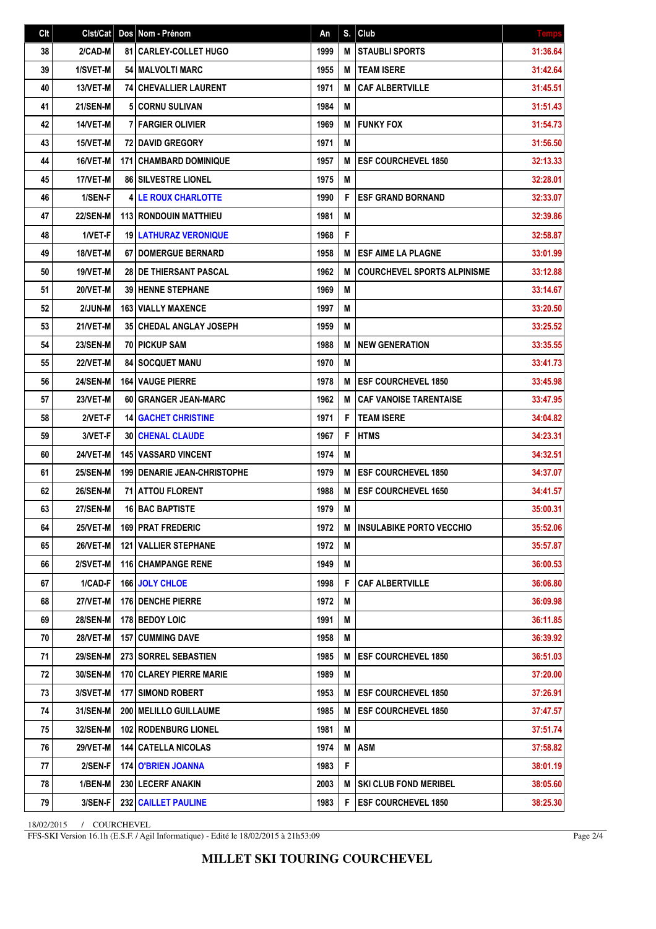| Clt | Clst/Cat        | Dos Nom - Prénom                     | An   | S. | Club                               | <b>Temps</b> |
|-----|-----------------|--------------------------------------|------|----|------------------------------------|--------------|
| 38  | 2/CAD-M         | 81 CARLEY-COLLET HUGO                | 1999 | M  | <b>STAUBLI SPORTS</b>              | 31:36.64     |
| 39  | 1/SVET-M        | 54   MALVOLTI MARC                   | 1955 | M  | <b>TEAM ISERE</b>                  | 31:42.64     |
| 40  | 13/VET-M        | <b>74 CHEVALLIER LAURENT</b>         | 1971 | M  | <b>CAF ALBERTVILLE</b>             | 31:45.51     |
| 41  | <b>21/SEN-M</b> | <b>5 CORNU SULIVAN</b>               | 1984 | M  |                                    | 31:51.43     |
| 42  | 14/VET-M        | <b>7 FARGIER OLIVIER</b>             | 1969 | M  | <b>FUNKY FOX</b>                   | 31:54.73     |
| 43  | 15/VET-M        | <b>72 DAVID GREGORY</b>              | 1971 | M  |                                    | 31:56.50     |
| 44  | 16/VET-M        | <b>171   CHAMBARD DOMINIQUE</b>      | 1957 | M  | <b>ESF COURCHEVEL 1850</b>         | 32:13.33     |
| 45  | 17/VET-M        | <b>86 SILVESTRE LIONEL</b>           | 1975 | M  |                                    | 32:28.01     |
| 46  | 1/SEN-F         | <b>4 LE ROUX CHARLOTTE</b>           | 1990 | F  | <b>ESF GRAND BORNAND</b>           | 32:33.07     |
| 47  | <b>22/SEN-M</b> | <b>113 RONDOUIN MATTHIEU</b>         | 1981 | M  |                                    | 32:39.86     |
| 48  | 1/VET-F         | <b>19 LATHURAZ VERONIQUE</b>         | 1968 | F  |                                    | 32:58.87     |
| 49  | 18/VET-M        | <b>67 DOMERGUE BERNARD</b>           | 1958 | M  | <b>ESF AIME LA PLAGNE</b>          | 33:01.99     |
| 50  | 19/VET-M        | 28 DE THIERSANT PASCAL               | 1962 | M  | <b>COURCHEVEL SPORTS ALPINISME</b> | 33:12.88     |
| 51  | 20/VET-M        | 39 HENNE STEPHANE                    | 1969 | M  |                                    | 33:14.67     |
| 52  | 2/JUN-M         | <b>163   VIALLY MAXENCE</b>          | 1997 | M  |                                    | 33:20.50     |
| 53  | 21/VET-M        | <b>35 CHEDAL ANGLAY JOSEPH</b>       | 1959 | M  |                                    | 33:25.52     |
| 54  | <b>23/SEN-M</b> | <b>70   PICKUP SAM</b>               | 1988 | M  | <b>NEW GENERATION</b>              | 33:35.55     |
| 55  | 22/VET-M        | <b>84 SOCQUET MANU</b>               | 1970 | M  |                                    | 33:41.73     |
| 56  | <b>24/SEN-M</b> | <b>164   VAUGE PIERRE</b>            | 1978 | M  | <b>ESF COURCHEVEL 1850</b>         | 33:45.98     |
| 57  | 23/VET-M        | 60 GRANGER JEAN-MARC                 | 1962 | M  | <b>CAF VANOISE TARENTAISE</b>      | 33:47.95     |
| 58  | 2/VET-F         | <b>14 GACHET CHRISTINE</b>           | 1971 | F  | <b>TEAM ISERE</b>                  | 34:04.82     |
| 59  | 3/VET-F         | <b>30 CHENAL CLAUDE</b>              | 1967 | F  | <b>HTMS</b>                        | 34:23.31     |
| 60  | 24/VET-M        | <b>145 VASSARD VINCENT</b>           | 1974 | M  |                                    | 34:32.51     |
| 61  | <b>25/SEN-M</b> | <b>199   DENARIE JEAN-CHRISTOPHE</b> | 1979 | M  | <b>ESF COURCHEVEL 1850</b>         | 34:37.07     |
| 62  | <b>26/SEN-M</b> | 71 ATTOU FLORENT                     | 1988 | M  | <b>ESF COURCHEVEL 1650</b>         | 34:41.57     |
| 63  | <b>27/SEN-M</b> | 16 BAC BAPTISTE                      | 1979 | M  |                                    | 35:00.31     |
| 64  | 25/VET-M        | 169 PRAT FREDERIC                    | 1972 | M  | <b>INSULABIKE PORTO VECCHIO</b>    | 35:52.06     |
| 65  | <b>26/VET-M</b> | <b>121 VALLIER STEPHANE</b>          | 1972 | M  |                                    | 35:57.87     |
| 66  | 2/SVET-M        | <b>116 CHAMPANGE RENE</b>            | 1949 | M  |                                    | 36:00.53     |
| 67  | 1/CAD-F         | <b>166 JOLY CHLOE</b>                | 1998 | F  | <b>CAF ALBERTVILLE</b>             | 36:06.80     |
| 68  | 27/VET-M        | 176 DENCHE PIERRE                    | 1972 | M  |                                    | 36:09.98     |
| 69  | <b>28/SEN-M</b> | <b>178 BEDOY LOIC</b>                | 1991 | M  |                                    | 36:11.85     |
| 70  | <b>28/VET-M</b> | <b>157   CUMMING DAVE</b>            | 1958 | M  |                                    | 36:39.92     |
| 71  | <b>29/SEN-M</b> | 273 SORREL SEBASTIEN                 | 1985 | M  | <b>ESF COURCHEVEL 1850</b>         | 36:51.03     |
| 72  | 30/SEN-M        | 170 CLAREY PIERRE MARIE              | 1989 | M  |                                    | 37:20.00     |
| 73  | 3/SVET-M        | 177 SIMOND ROBERT                    | 1953 | M  | <b>ESF COURCHEVEL 1850</b>         | 37:26.91     |
| 74  | <b>31/SEN-M</b> | <b>200   MELILLO GUILLAUME</b>       | 1985 | M  | <b>ESF COURCHEVEL 1850</b>         | 37:47.57     |
| 75  | 32/SEN-M        | <b>102 RODENBURG LIONEL</b>          | 1981 | M  |                                    | 37:51.74     |
| 76  | <b>29/VET-M</b> | <b>144   CATELLA NICOLAS</b>         | 1974 | M  | <b>ASM</b>                         | 37:58.82     |
| 77  | 2/SEN-F         | 174 O'BRIEN JOANNA                   | 1983 | F  |                                    | 38:01.19     |
| 78  | 1/BEN-M         | 230 LECERF ANAKIN                    | 2003 | Μ  | <b>SKI CLUB FOND MERIBEL</b>       | 38:05.60     |
| 79  | 3/SEN-F         | 232 CAILLET PAULINE                  | 1983 | F  | <b>ESF COURCHEVEL 1850</b>         | 38:25.30     |

18/02/2015 / COURCHEVEL

FFS-SKI Version 16.1h (E.S.F. / Agil Informatique) - Edité le 18/02/2015 à 21h53:09

Page 2/4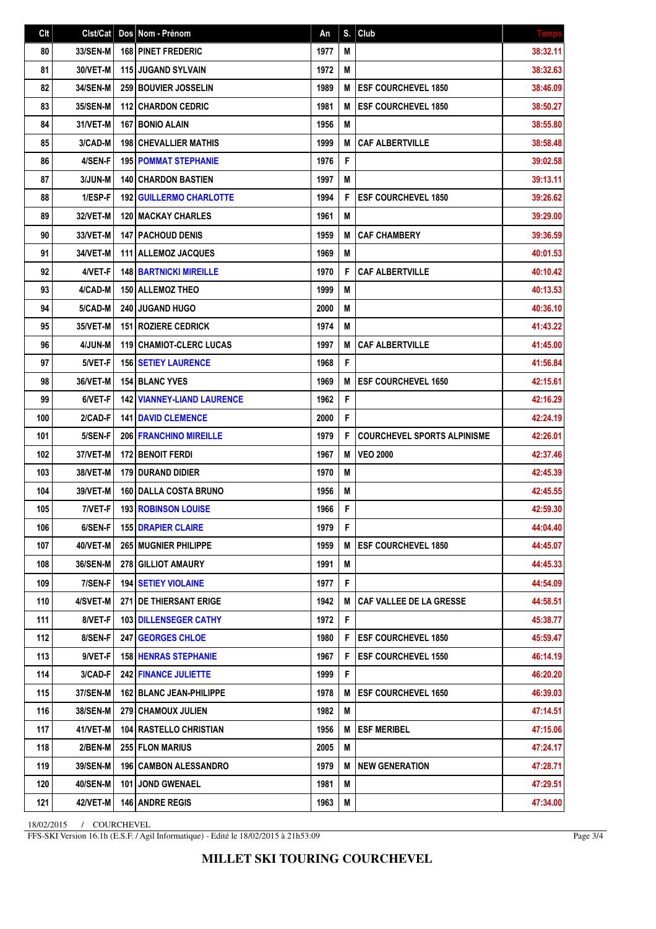| Clt | Clst/Cat        | Dos Nom - Prénom                  | An   | S. | Club                               | <b>Temps</b> |
|-----|-----------------|-----------------------------------|------|----|------------------------------------|--------------|
| 80  | 33/SEN-M        | <b>168 PINET FREDERIC</b>         | 1977 | M  |                                    | 38:32.11     |
| 81  | 30/VET-M        | <b>115 JUGAND SYLVAIN</b>         | 1972 | M  |                                    | 38:32.63     |
| 82  | <b>34/SEN-M</b> | 259 BOUVIER JOSSELIN              | 1989 | М  | <b>ESF COURCHEVEL 1850</b>         | 38:46.09     |
| 83  | <b>35/SEN-M</b> | <b>112 CHARDON CEDRIC</b>         | 1981 | M  | <b>ESF COURCHEVEL 1850</b>         | 38:50.27     |
| 84  | 31/VET-M        | <b>167 BONIO ALAIN</b>            | 1956 | M  |                                    | 38:55.80     |
| 85  | 3/CAD-M         | <b>198 CHEVALLIER MATHIS</b>      | 1999 | M  | <b>CAF ALBERTVILLE</b>             | 38:58.48     |
| 86  | 4/SEN-F         | <b>195 POMMAT STEPHANIE</b>       | 1976 | F  |                                    | 39:02.58     |
| 87  | 3/JUN-M         | <b>140 CHARDON BASTIEN</b>        | 1997 | M  |                                    | 39:13.11     |
| 88  | 1/ESP-F         | <b>192 GUILLERMO CHARLOTTE</b>    | 1994 | F  | <b>ESF COURCHEVEL 1850</b>         | 39:26.62     |
| 89  | 32/VET-M        | <b>120   MACKAY CHARLES</b>       | 1961 | M  |                                    | 39:29.00     |
| 90  | 33/VET-M        | <b>147   PACHOUD DENIS</b>        | 1959 | M  | <b>CAF CHAMBERY</b>                | 39:36.59     |
| 91  | 34/VET-M        | 111 ALLEMOZ JACQUES               | 1969 | M  |                                    | 40:01.53     |
| 92  | 4/VET-F         | <b>148 BARTNICKI MIREILLE</b>     | 1970 | F  | <b>CAF ALBERTVILLE</b>             | 40:10.42     |
| 93  | 4/CAD-M         | 150 ALLEMOZ THEO                  | 1999 | M  |                                    | 40:13.53     |
| 94  | 5/CAD-M         | <b>240 JUGAND HUGO</b>            | 2000 | M  |                                    | 40:36.10     |
| 95  | 35/VET-M        | <b>151 ROZIERE CEDRICK</b>        | 1974 | M  |                                    | 41:43.22     |
| 96  | 4/JUN-M         | <b>119 CHAMIOT-CLERC LUCAS</b>    | 1997 | M  | <b>CAF ALBERTVILLE</b>             | 41:45.00     |
| 97  | 5/VET-F         | <b>156 SETIEY LAURENCE</b>        | 1968 | F  |                                    | 41:56.84     |
| 98  | 36/VET-M        | <b>154 BLANC YVES</b>             | 1969 | M  | <b>ESF COURCHEVEL 1650</b>         | 42:15.61     |
| 99  | 6/VET-F         | <b>142 VIANNEY-LIAND LAURENCE</b> | 1962 | F  |                                    | 42:16.29     |
| 100 | 2/CAD-F         | <b>141 DAVID CLEMENCE</b>         | 2000 | F  |                                    | 42:24.19     |
| 101 | 5/SEN-F         | <b>206 FRANCHINO MIREILLE</b>     | 1979 | F  | <b>COURCHEVEL SPORTS ALPINISME</b> | 42:26.01     |
| 102 | 37/VET-M        | <b>172 BENOIT FERDI</b>           | 1967 | M  | <b>VEO 2000</b>                    | 42:37.46     |
| 103 | 38/VET-M        | 179 DURAND DIDIER                 | 1970 | M  |                                    | 42:45.39     |
| 104 | 39/VET-M        | 160 DALLA COSTA BRUNO             | 1956 | M  |                                    | 42:45.55     |
| 105 | 7/VET-F         | <b>193 ROBINSON LOUISE</b>        | 1966 | F  |                                    | 42:59.30     |
| 106 | 6/SEN-F         | <b>155 DRAPIER CLAIRE</b>         | 1979 | F  |                                    | 44:04.40     |
| 107 | 40/VET-M        | <b>265   MUGNIER PHILIPPE</b>     | 1959 | M  | <b>ESF COURCHEVEL 1850</b>         | 44:45.07     |
| 108 | <b>36/SEN-M</b> | 278 GILLIOT AMAURY                | 1991 | M  |                                    | 44:45.33     |
| 109 | 7/SEN-F         | <b>194   SETIEY VIOLAINE</b>      | 1977 | F  |                                    | 44:54.09     |
| 110 | 4/SVET-M        | 271 DE THIERSANT ERIGE            | 1942 | M  | <b>CAF VALLEE DE LA GRESSE</b>     | 44:58.51     |
| 111 | 8/VET-F         | <b>103 DILLENSEGER CATHY</b>      | 1972 | F  |                                    | 45:38.77     |
| 112 | 8/SEN-F         | <b>247   GEORGES CHLOE</b>        | 1980 | F  | <b>ESF COURCHEVEL 1850</b>         | 45:59.47     |
| 113 | 9/VET-F         | <b>158 HENRAS STEPHANIE</b>       | 1967 | F  | <b>ESF COURCHEVEL 1550</b>         | 46:14.19     |
| 114 | 3/CAD-F         | <b>242 FINANCE JULIETTE</b>       | 1999 | F  |                                    | 46:20.20     |
| 115 | 37/SEN-M        | <b>162 BLANC JEAN-PHILIPPE</b>    | 1978 | M  | <b>ESF COURCHEVEL 1650</b>         | 46:39.03     |
| 116 | <b>38/SEN-M</b> | <b>279   CHAMOUX JULIEN</b>       | 1982 | Μ  |                                    | 47:14.51     |
| 117 | 41/VET-M        | 104 RASTELLO CHRISTIAN            | 1956 | M  | <b>ESF MERIBEL</b>                 | 47:15.06     |
| 118 | 2/BEN-M         | 255 FLON MARIUS                   | 2005 | Μ  |                                    | 47:24.17     |
| 119 | 39/SEN-M        | <b>196 CAMBON ALESSANDRO</b>      | 1979 | M  | <b>NEW GENERATION</b>              | 47:28.71     |
| 120 | 40/SEN-M        | <b>101 JOND GWENAEL</b>           | 1981 | M  |                                    | 47:29.51     |
| 121 | 42/VET-M        | 146 ANDRE REGIS                   | 1963 | M  |                                    | 47:34.00     |

18/02/2015 / COURCHEVEL

FFS-SKI Version 16.1h (E.S.F. / Agil Informatique) - Edité le 18/02/2015 à 21h53:09

Page 3/4